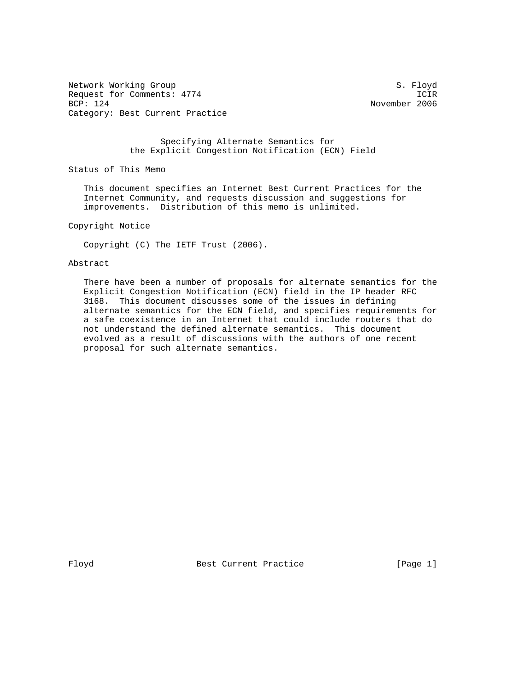Network Working Group S. Floyd Request for Comments: 4774 ICIR<br>BCP: 124 November 2006 Category: Best Current Practice

November 2006

## Specifying Alternate Semantics for the Explicit Congestion Notification (ECN) Field

Status of This Memo

 This document specifies an Internet Best Current Practices for the Internet Community, and requests discussion and suggestions for improvements. Distribution of this memo is unlimited.

Copyright Notice

Copyright (C) The IETF Trust (2006).

## Abstract

 There have been a number of proposals for alternate semantics for the Explicit Congestion Notification (ECN) field in the IP header RFC 3168. This document discusses some of the issues in defining alternate semantics for the ECN field, and specifies requirements for a safe coexistence in an Internet that could include routers that do not understand the defined alternate semantics. This document evolved as a result of discussions with the authors of one recent proposal for such alternate semantics.

Floyd Best Current Practice [Page 1]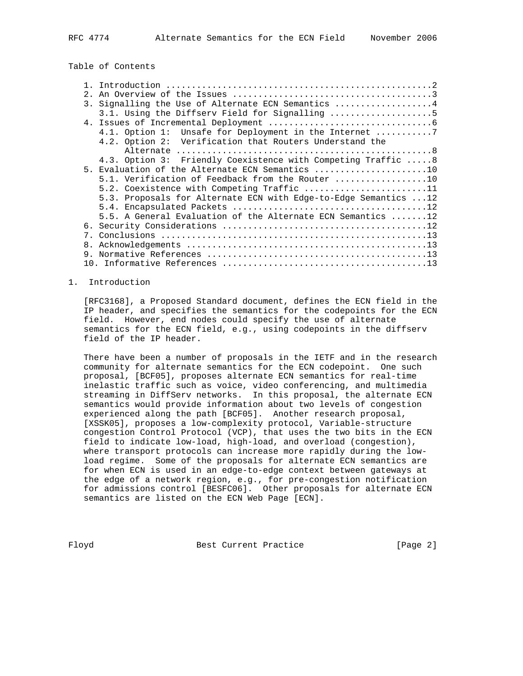# Table of Contents

| 2. |                                                                           |
|----|---------------------------------------------------------------------------|
|    | 3. Signalling the Use of Alternate ECN Semantics 4                        |
|    | 3.1. Using the Diffserv Field for Signalling 5                            |
|    |                                                                           |
|    | 4.1. Option 1: Unsafe for Deployment in the Internet 7                    |
|    | 4.2. Option 2: Verification that Routers Understand the                   |
|    |                                                                           |
|    | 4.3. Option 3: Friendly Coexistence with Competing Traffic 8              |
|    | 5. Evaluation of the Alternate ECN Semantics 10                           |
|    | 5.1. Verification of Feedback from the Router 10                          |
|    | 5.2. Coexistence with Competing Traffic 11                                |
|    | 5.3. Proposals for Alternate ECN with Edge-to-Edge Semantics  12          |
|    |                                                                           |
|    | 5.5. A General Evaluation of the Alternate ECN Semantics $\dots \dots 12$ |
|    |                                                                           |
|    |                                                                           |
|    |                                                                           |
|    |                                                                           |
|    |                                                                           |

#### 1. Introduction

 [RFC3168], a Proposed Standard document, defines the ECN field in the IP header, and specifies the semantics for the codepoints for the ECN field. However, end nodes could specify the use of alternate semantics for the ECN field, e.g., using codepoints in the diffserv field of the IP header.

 There have been a number of proposals in the IETF and in the research community for alternate semantics for the ECN codepoint. One such proposal, [BCF05], proposes alternate ECN semantics for real-time inelastic traffic such as voice, video conferencing, and multimedia streaming in DiffServ networks. In this proposal, the alternate ECN semantics would provide information about two levels of congestion experienced along the path [BCF05]. Another research proposal, [XSSK05], proposes a low-complexity protocol, Variable-structure congestion Control Protocol (VCP), that uses the two bits in the ECN field to indicate low-load, high-load, and overload (congestion), where transport protocols can increase more rapidly during the low load regime. Some of the proposals for alternate ECN semantics are for when ECN is used in an edge-to-edge context between gateways at the edge of a network region, e.g., for pre-congestion notification for admissions control [BESFC06]. Other proposals for alternate ECN semantics are listed on the ECN Web Page [ECN].

Floyd Best Current Practice [Page 2]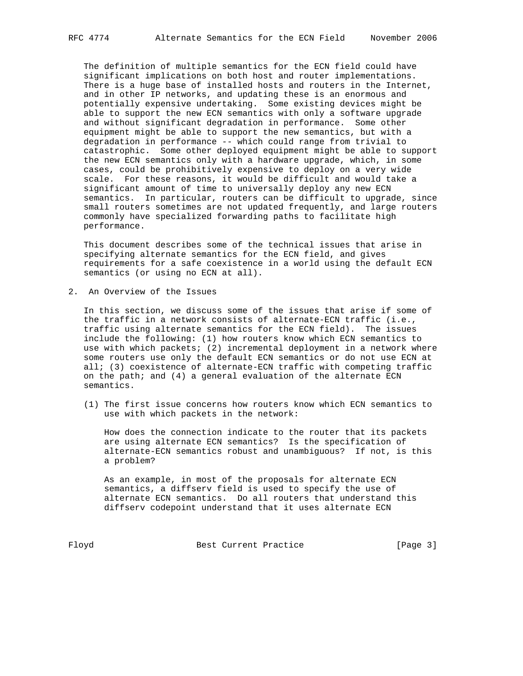The definition of multiple semantics for the ECN field could have significant implications on both host and router implementations. There is a huge base of installed hosts and routers in the Internet, and in other IP networks, and updating these is an enormous and potentially expensive undertaking. Some existing devices might be able to support the new ECN semantics with only a software upgrade and without significant degradation in performance. Some other equipment might be able to support the new semantics, but with a degradation in performance -- which could range from trivial to catastrophic. Some other deployed equipment might be able to support the new ECN semantics only with a hardware upgrade, which, in some cases, could be prohibitively expensive to deploy on a very wide scale. For these reasons, it would be difficult and would take a significant amount of time to universally deploy any new ECN semantics. In particular, routers can be difficult to upgrade, since small routers sometimes are not updated frequently, and large routers commonly have specialized forwarding paths to facilitate high performance.

 This document describes some of the technical issues that arise in specifying alternate semantics for the ECN field, and gives requirements for a safe coexistence in a world using the default ECN semantics (or using no ECN at all).

2. An Overview of the Issues

 In this section, we discuss some of the issues that arise if some of the traffic in a network consists of alternate-ECN traffic (i.e., traffic using alternate semantics for the ECN field). The issues include the following: (1) how routers know which ECN semantics to use with which packets; (2) incremental deployment in a network where some routers use only the default ECN semantics or do not use ECN at all; (3) coexistence of alternate-ECN traffic with competing traffic on the path; and  $(4)$  a general evaluation of the alternate ECN semantics.

 (1) The first issue concerns how routers know which ECN semantics to use with which packets in the network:

 How does the connection indicate to the router that its packets are using alternate ECN semantics? Is the specification of alternate-ECN semantics robust and unambiguous? If not, is this a problem?

 As an example, in most of the proposals for alternate ECN semantics, a diffserv field is used to specify the use of alternate ECN semantics. Do all routers that understand this diffserv codepoint understand that it uses alternate ECN

Floyd Best Current Practice [Page 3]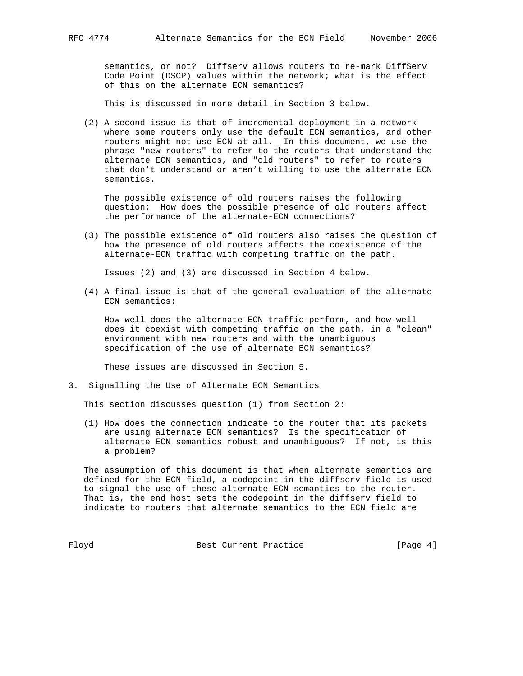semantics, or not? Diffserv allows routers to re-mark DiffServ Code Point (DSCP) values within the network; what is the effect of this on the alternate ECN semantics?

This is discussed in more detail in Section 3 below.

 (2) A second issue is that of incremental deployment in a network where some routers only use the default ECN semantics, and other routers might not use ECN at all. In this document, we use the phrase "new routers" to refer to the routers that understand the alternate ECN semantics, and "old routers" to refer to routers that don't understand or aren't willing to use the alternate ECN semantics.

 The possible existence of old routers raises the following question: How does the possible presence of old routers affect the performance of the alternate-ECN connections?

 (3) The possible existence of old routers also raises the question of how the presence of old routers affects the coexistence of the alternate-ECN traffic with competing traffic on the path.

Issues (2) and (3) are discussed in Section 4 below.

 (4) A final issue is that of the general evaluation of the alternate ECN semantics:

 How well does the alternate-ECN traffic perform, and how well does it coexist with competing traffic on the path, in a "clean" environment with new routers and with the unambiguous specification of the use of alternate ECN semantics?

These issues are discussed in Section 5.

3. Signalling the Use of Alternate ECN Semantics

This section discusses question (1) from Section 2:

 (1) How does the connection indicate to the router that its packets are using alternate ECN semantics? Is the specification of alternate ECN semantics robust and unambiguous? If not, is this a problem?

 The assumption of this document is that when alternate semantics are defined for the ECN field, a codepoint in the diffserv field is used to signal the use of these alternate ECN semantics to the router. That is, the end host sets the codepoint in the diffserv field to indicate to routers that alternate semantics to the ECN field are

Floyd Best Current Practice [Page 4]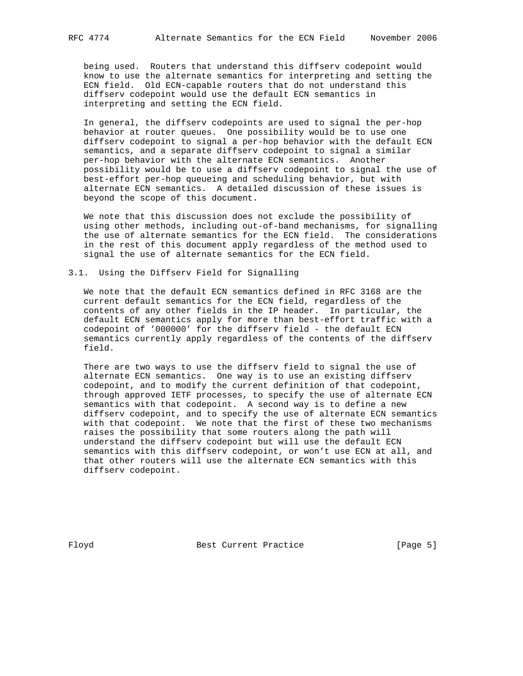being used. Routers that understand this diffserv codepoint would know to use the alternate semantics for interpreting and setting the ECN field. Old ECN-capable routers that do not understand this diffserv codepoint would use the default ECN semantics in interpreting and setting the ECN field.

 In general, the diffserv codepoints are used to signal the per-hop behavior at router queues. One possibility would be to use one diffserv codepoint to signal a per-hop behavior with the default ECN semantics, and a separate diffserv codepoint to signal a similar per-hop behavior with the alternate ECN semantics. Another possibility would be to use a diffserv codepoint to signal the use of best-effort per-hop queueing and scheduling behavior, but with alternate ECN semantics. A detailed discussion of these issues is beyond the scope of this document.

 We note that this discussion does not exclude the possibility of using other methods, including out-of-band mechanisms, for signalling the use of alternate semantics for the ECN field. The considerations in the rest of this document apply regardless of the method used to signal the use of alternate semantics for the ECN field.

### 3.1. Using the Diffserv Field for Signalling

 We note that the default ECN semantics defined in RFC 3168 are the current default semantics for the ECN field, regardless of the contents of any other fields in the IP header. In particular, the default ECN semantics apply for more than best-effort traffic with a codepoint of '000000' for the diffserv field - the default ECN semantics currently apply regardless of the contents of the diffserv field.

 There are two ways to use the diffserv field to signal the use of alternate ECN semantics. One way is to use an existing diffserv codepoint, and to modify the current definition of that codepoint, through approved IETF processes, to specify the use of alternate ECN semantics with that codepoint. A second way is to define a new diffserv codepoint, and to specify the use of alternate ECN semantics with that codepoint. We note that the first of these two mechanisms raises the possibility that some routers along the path will understand the diffserv codepoint but will use the default ECN semantics with this diffserv codepoint, or won't use ECN at all, and that other routers will use the alternate ECN semantics with this diffserv codepoint.

Floyd Best Current Practice [Page 5]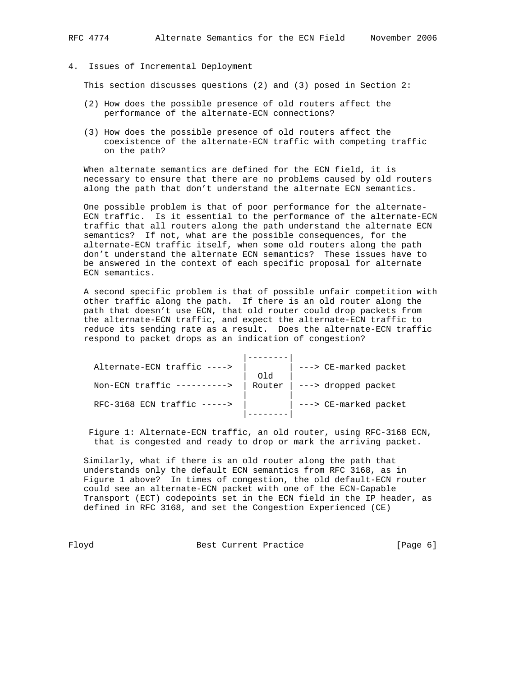4. Issues of Incremental Deployment

This section discusses questions (2) and (3) posed in Section 2:

- (2) How does the possible presence of old routers affect the performance of the alternate-ECN connections?
- (3) How does the possible presence of old routers affect the coexistence of the alternate-ECN traffic with competing traffic on the path?

 When alternate semantics are defined for the ECN field, it is necessary to ensure that there are no problems caused by old routers along the path that don't understand the alternate ECN semantics.

 One possible problem is that of poor performance for the alternate- ECN traffic. Is it essential to the performance of the alternate-ECN traffic that all routers along the path understand the alternate ECN semantics? If not, what are the possible consequences, for the alternate-ECN traffic itself, when some old routers along the path don't understand the alternate ECN semantics? These issues have to be answered in the context of each specific proposal for alternate ECN semantics.

 A second specific problem is that of possible unfair competition with other traffic along the path. If there is an old router along the path that doesn't use ECN, that old router could drop packets from the alternate-ECN traffic, and expect the alternate-ECN traffic to reduce its sending rate as a result. Does the alternate-ECN traffic respond to packet drops as an indication of congestion?

| ---> CE-marked packet              |
|------------------------------------|
|                                    |
| Router $\vert$ ---> dropped packet |
|                                    |
| ---> CE-marked packet              |
|                                    |
|                                    |

 Figure 1: Alternate-ECN traffic, an old router, using RFC-3168 ECN, that is congested and ready to drop or mark the arriving packet.

 Similarly, what if there is an old router along the path that understands only the default ECN semantics from RFC 3168, as in Figure 1 above? In times of congestion, the old default-ECN router could see an alternate-ECN packet with one of the ECN-Capable Transport (ECT) codepoints set in the ECN field in the IP header, as defined in RFC 3168, and set the Congestion Experienced (CE)

Floyd Best Current Practice Floyd [Page 6]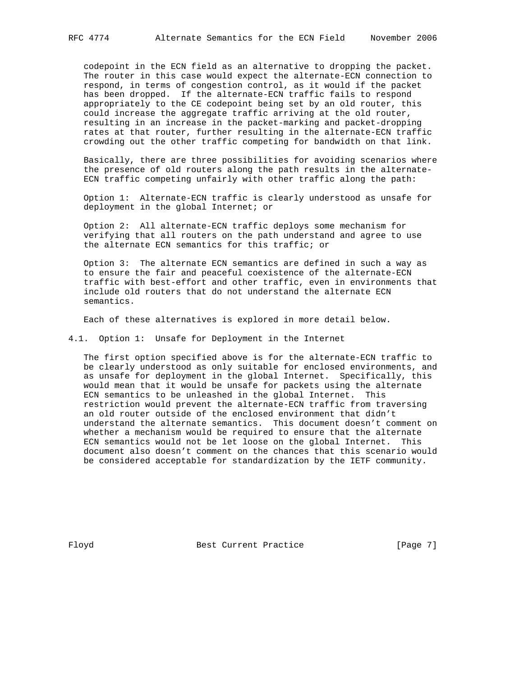codepoint in the ECN field as an alternative to dropping the packet. The router in this case would expect the alternate-ECN connection to respond, in terms of congestion control, as it would if the packet has been dropped. If the alternate-ECN traffic fails to respond appropriately to the CE codepoint being set by an old router, this could increase the aggregate traffic arriving at the old router, resulting in an increase in the packet-marking and packet-dropping rates at that router, further resulting in the alternate-ECN traffic crowding out the other traffic competing for bandwidth on that link.

 Basically, there are three possibilities for avoiding scenarios where the presence of old routers along the path results in the alternate- ECN traffic competing unfairly with other traffic along the path:

 Option 1: Alternate-ECN traffic is clearly understood as unsafe for deployment in the global Internet; or

 Option 2: All alternate-ECN traffic deploys some mechanism for verifying that all routers on the path understand and agree to use the alternate ECN semantics for this traffic; or

 Option 3: The alternate ECN semantics are defined in such a way as to ensure the fair and peaceful coexistence of the alternate-ECN traffic with best-effort and other traffic, even in environments that include old routers that do not understand the alternate ECN semantics.

Each of these alternatives is explored in more detail below.

4.1. Option 1: Unsafe for Deployment in the Internet

 The first option specified above is for the alternate-ECN traffic to be clearly understood as only suitable for enclosed environments, and as unsafe for deployment in the global Internet. Specifically, this would mean that it would be unsafe for packets using the alternate ECN semantics to be unleashed in the global Internet. This restriction would prevent the alternate-ECN traffic from traversing an old router outside of the enclosed environment that didn't understand the alternate semantics. This document doesn't comment on whether a mechanism would be required to ensure that the alternate ECN semantics would not be let loose on the global Internet. This document also doesn't comment on the chances that this scenario would be considered acceptable for standardization by the IETF community.

Floyd Best Current Practice [Page 7]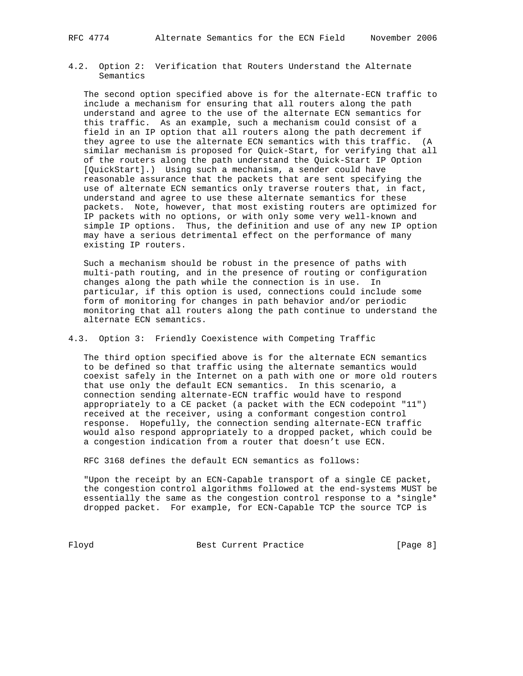4.2. Option 2: Verification that Routers Understand the Alternate Semantics

 The second option specified above is for the alternate-ECN traffic to include a mechanism for ensuring that all routers along the path understand and agree to the use of the alternate ECN semantics for this traffic. As an example, such a mechanism could consist of a field in an IP option that all routers along the path decrement if they agree to use the alternate ECN semantics with this traffic. (A similar mechanism is proposed for Quick-Start, for verifying that all of the routers along the path understand the Quick-Start IP Option [QuickStart].) Using such a mechanism, a sender could have reasonable assurance that the packets that are sent specifying the use of alternate ECN semantics only traverse routers that, in fact, understand and agree to use these alternate semantics for these packets. Note, however, that most existing routers are optimized for IP packets with no options, or with only some very well-known and simple IP options. Thus, the definition and use of any new IP option may have a serious detrimental effect on the performance of many existing IP routers.

 Such a mechanism should be robust in the presence of paths with multi-path routing, and in the presence of routing or configuration changes along the path while the connection is in use. In particular, if this option is used, connections could include some form of monitoring for changes in path behavior and/or periodic monitoring that all routers along the path continue to understand the alternate ECN semantics.

# 4.3. Option 3: Friendly Coexistence with Competing Traffic

 The third option specified above is for the alternate ECN semantics to be defined so that traffic using the alternate semantics would coexist safely in the Internet on a path with one or more old routers that use only the default ECN semantics. In this scenario, a connection sending alternate-ECN traffic would have to respond appropriately to a CE packet (a packet with the ECN codepoint "11") received at the receiver, using a conformant congestion control response. Hopefully, the connection sending alternate-ECN traffic would also respond appropriately to a dropped packet, which could be a congestion indication from a router that doesn't use ECN.

RFC 3168 defines the default ECN semantics as follows:

 "Upon the receipt by an ECN-Capable transport of a single CE packet, the congestion control algorithms followed at the end-systems MUST be essentially the same as the congestion control response to a \*single\* dropped packet. For example, for ECN-Capable TCP the source TCP is

Floyd Best Current Practice [Page 8]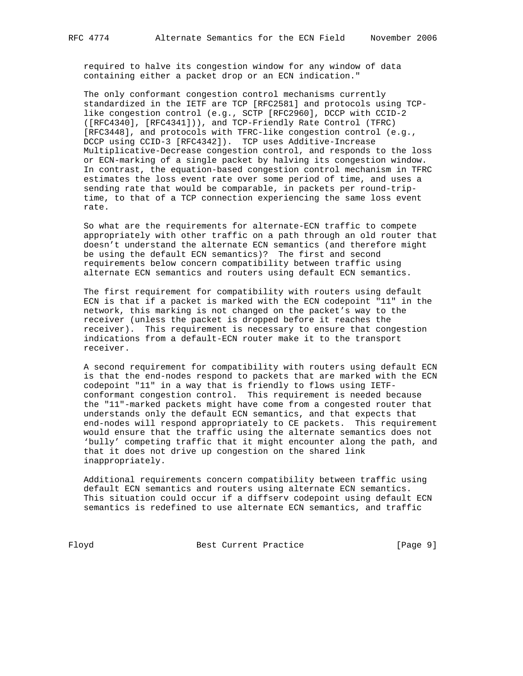required to halve its congestion window for any window of data containing either a packet drop or an ECN indication."

 The only conformant congestion control mechanisms currently standardized in the IETF are TCP [RFC2581] and protocols using TCP like congestion control (e.g., SCTP [RFC2960], DCCP with CCID-2 ([RFC4340], [RFC4341])), and TCP-Friendly Rate Control (TFRC) [RFC3448], and protocols with TFRC-like congestion control (e.g., DCCP using CCID-3 [RFC4342]). TCP uses Additive-Increase Multiplicative-Decrease congestion control, and responds to the loss or ECN-marking of a single packet by halving its congestion window. In contrast, the equation-based congestion control mechanism in TFRC estimates the loss event rate over some period of time, and uses a sending rate that would be comparable, in packets per round-trip time, to that of a TCP connection experiencing the same loss event rate.

 So what are the requirements for alternate-ECN traffic to compete appropriately with other traffic on a path through an old router that doesn't understand the alternate ECN semantics (and therefore might be using the default ECN semantics)? The first and second requirements below concern compatibility between traffic using alternate ECN semantics and routers using default ECN semantics.

 The first requirement for compatibility with routers using default ECN is that if a packet is marked with the ECN codepoint "11" in the network, this marking is not changed on the packet's way to the receiver (unless the packet is dropped before it reaches the receiver). This requirement is necessary to ensure that congestion indications from a default-ECN router make it to the transport receiver.

 A second requirement for compatibility with routers using default ECN is that the end-nodes respond to packets that are marked with the ECN codepoint "11" in a way that is friendly to flows using IETF conformant congestion control. This requirement is needed because the "11"-marked packets might have come from a congested router that understands only the default ECN semantics, and that expects that end-nodes will respond appropriately to CE packets. This requirement would ensure that the traffic using the alternate semantics does not 'bully' competing traffic that it might encounter along the path, and that it does not drive up congestion on the shared link inappropriately.

 Additional requirements concern compatibility between traffic using default ECN semantics and routers using alternate ECN semantics. This situation could occur if a diffserv codepoint using default ECN semantics is redefined to use alternate ECN semantics, and traffic

Floyd Best Current Practice [Page 9]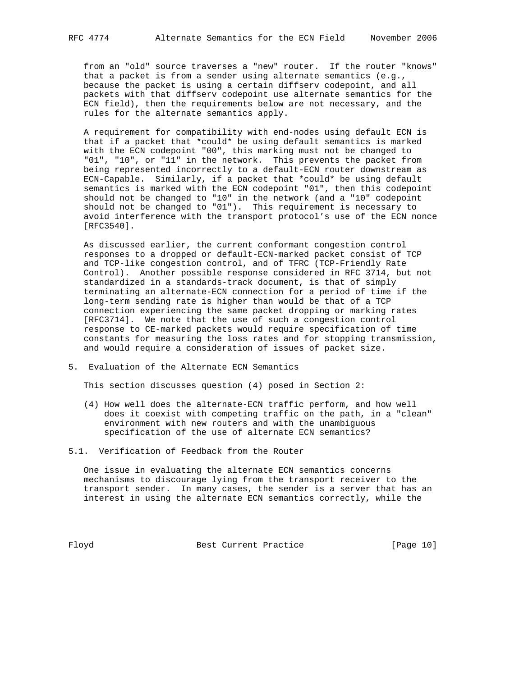from an "old" source traverses a "new" router. If the router "knows" that a packet is from a sender using alternate semantics (e.g., because the packet is using a certain diffserv codepoint, and all packets with that diffserv codepoint use alternate semantics for the ECN field), then the requirements below are not necessary, and the rules for the alternate semantics apply.

 A requirement for compatibility with end-nodes using default ECN is that if a packet that \*could\* be using default semantics is marked with the ECN codepoint "00", this marking must not be changed to "01", "10", or "11" in the network. This prevents the packet from being represented incorrectly to a default-ECN router downstream as ECN-Capable. Similarly, if a packet that \*could\* be using default semantics is marked with the ECN codepoint "01", then this codepoint should not be changed to "10" in the network (and a "10" codepoint should not be changed to "01"). This requirement is necessary to avoid interference with the transport protocol's use of the ECN nonce [RFC3540].

 As discussed earlier, the current conformant congestion control responses to a dropped or default-ECN-marked packet consist of TCP and TCP-like congestion control, and of TFRC (TCP-Friendly Rate Control). Another possible response considered in RFC 3714, but not standardized in a standards-track document, is that of simply terminating an alternate-ECN connection for a period of time if the long-term sending rate is higher than would be that of a TCP connection experiencing the same packet dropping or marking rates [RFC3714]. We note that the use of such a congestion control response to CE-marked packets would require specification of time constants for measuring the loss rates and for stopping transmission, and would require a consideration of issues of packet size.

5. Evaluation of the Alternate ECN Semantics

This section discusses question (4) posed in Section 2:

- (4) How well does the alternate-ECN traffic perform, and how well does it coexist with competing traffic on the path, in a "clean" environment with new routers and with the unambiguous specification of the use of alternate ECN semantics?
- 5.1. Verification of Feedback from the Router

 One issue in evaluating the alternate ECN semantics concerns mechanisms to discourage lying from the transport receiver to the transport sender. In many cases, the sender is a server that has an interest in using the alternate ECN semantics correctly, while the

Floyd Best Current Practice [Page 10]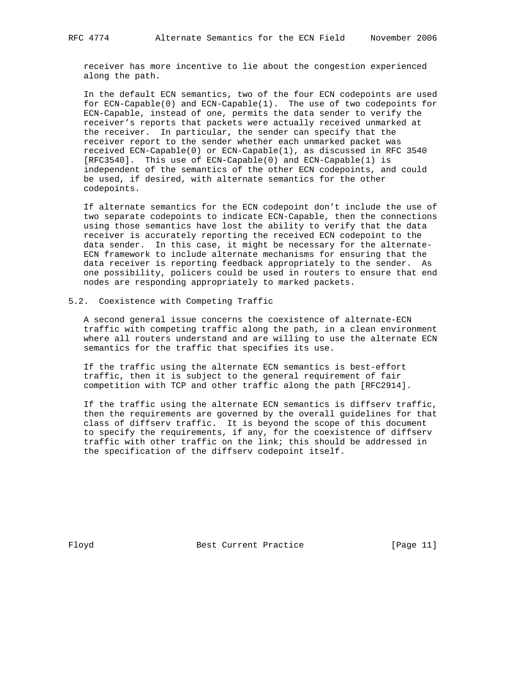receiver has more incentive to lie about the congestion experienced along the path.

 In the default ECN semantics, two of the four ECN codepoints are used for ECN-Capable(0) and ECN-Capable(1). The use of two codepoints for ECN-Capable, instead of one, permits the data sender to verify the receiver's reports that packets were actually received unmarked at the receiver. In particular, the sender can specify that the receiver report to the sender whether each unmarked packet was received ECN-Capable(0) or ECN-Capable(1), as discussed in RFC 3540 [RFC3540]. This use of ECN-Capable(0) and ECN-Capable(1) is independent of the semantics of the other ECN codepoints, and could be used, if desired, with alternate semantics for the other codepoints.

 If alternate semantics for the ECN codepoint don't include the use of two separate codepoints to indicate ECN-Capable, then the connections using those semantics have lost the ability to verify that the data receiver is accurately reporting the received ECN codepoint to the data sender. In this case, it might be necessary for the alternate- ECN framework to include alternate mechanisms for ensuring that the data receiver is reporting feedback appropriately to the sender. As one possibility, policers could be used in routers to ensure that end nodes are responding appropriately to marked packets.

## 5.2. Coexistence with Competing Traffic

 A second general issue concerns the coexistence of alternate-ECN traffic with competing traffic along the path, in a clean environment where all routers understand and are willing to use the alternate ECN semantics for the traffic that specifies its use.

 If the traffic using the alternate ECN semantics is best-effort traffic, then it is subject to the general requirement of fair competition with TCP and other traffic along the path [RFC2914].

 If the traffic using the alternate ECN semantics is diffserv traffic, then the requirements are governed by the overall guidelines for that class of diffserv traffic. It is beyond the scope of this document to specify the requirements, if any, for the coexistence of diffserv traffic with other traffic on the link; this should be addressed in the specification of the diffserv codepoint itself.

Floyd Best Current Practice [Page 11]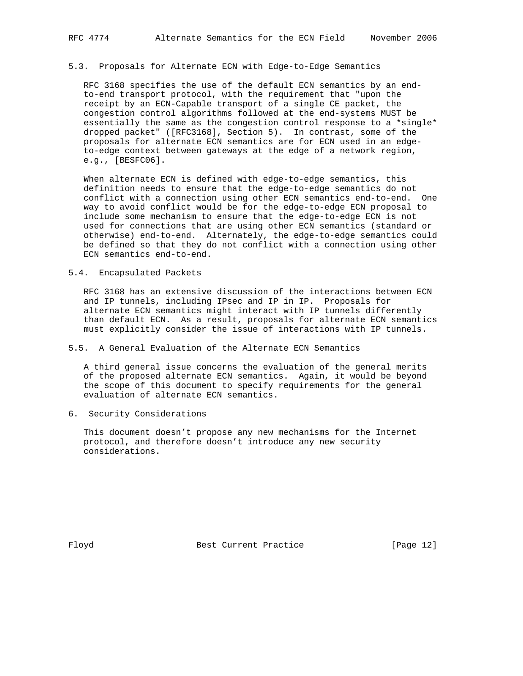## 5.3. Proposals for Alternate ECN with Edge-to-Edge Semantics

 RFC 3168 specifies the use of the default ECN semantics by an end to-end transport protocol, with the requirement that "upon the receipt by an ECN-Capable transport of a single CE packet, the congestion control algorithms followed at the end-systems MUST be essentially the same as the congestion control response to a \*single\* dropped packet" ([RFC3168], Section 5). In contrast, some of the proposals for alternate ECN semantics are for ECN used in an edge to-edge context between gateways at the edge of a network region, e.g., [BESFC06].

 When alternate ECN is defined with edge-to-edge semantics, this definition needs to ensure that the edge-to-edge semantics do not conflict with a connection using other ECN semantics end-to-end. One way to avoid conflict would be for the edge-to-edge ECN proposal to include some mechanism to ensure that the edge-to-edge ECN is not used for connections that are using other ECN semantics (standard or otherwise) end-to-end. Alternately, the edge-to-edge semantics could be defined so that they do not conflict with a connection using other ECN semantics end-to-end.

## 5.4. Encapsulated Packets

 RFC 3168 has an extensive discussion of the interactions between ECN and IP tunnels, including IPsec and IP in IP. Proposals for alternate ECN semantics might interact with IP tunnels differently than default ECN. As a result, proposals for alternate ECN semantics must explicitly consider the issue of interactions with IP tunnels.

# 5.5. A General Evaluation of the Alternate ECN Semantics

 A third general issue concerns the evaluation of the general merits of the proposed alternate ECN semantics. Again, it would be beyond the scope of this document to specify requirements for the general evaluation of alternate ECN semantics.

6. Security Considerations

 This document doesn't propose any new mechanisms for the Internet protocol, and therefore doesn't introduce any new security considerations.

Floyd Best Current Practice [Page 12]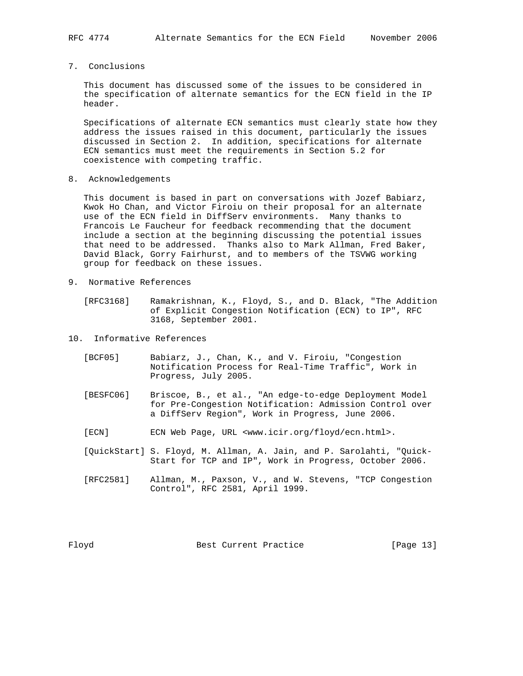7. Conclusions

 This document has discussed some of the issues to be considered in the specification of alternate semantics for the ECN field in the IP header.

 Specifications of alternate ECN semantics must clearly state how they address the issues raised in this document, particularly the issues discussed in Section 2. In addition, specifications for alternate ECN semantics must meet the requirements in Section 5.2 for coexistence with competing traffic.

8. Acknowledgements

 This document is based in part on conversations with Jozef Babiarz, Kwok Ho Chan, and Victor Firoiu on their proposal for an alternate use of the ECN field in DiffServ environments. Many thanks to Francois Le Faucheur for feedback recommending that the document include a section at the beginning discussing the potential issues that need to be addressed. Thanks also to Mark Allman, Fred Baker, David Black, Gorry Fairhurst, and to members of the TSVWG working group for feedback on these issues.

- 9. Normative References
	- [RFC3168] Ramakrishnan, K., Floyd, S., and D. Black, "The Addition of Explicit Congestion Notification (ECN) to IP", RFC 3168, September 2001.
- 10. Informative References
	- [BCF05] Babiarz, J., Chan, K., and V. Firoiu, "Congestion Notification Process for Real-Time Traffic", Work in Progress, July 2005.
	- [BESFC06] Briscoe, B., et al., "An edge-to-edge Deployment Model for Pre-Congestion Notification: Admission Control over a DiffServ Region", Work in Progress, June 2006.
	- [ECN] ECN Web Page, URL <www.icir.org/floyd/ecn.html>.
	- [QuickStart] S. Floyd, M. Allman, A. Jain, and P. Sarolahti, "Quick- Start for TCP and IP", Work in Progress, October 2006.
	- [RFC2581] Allman, M., Paxson, V., and W. Stevens, "TCP Congestion Control", RFC 2581, April 1999.

Floyd Best Current Practice [Page 13]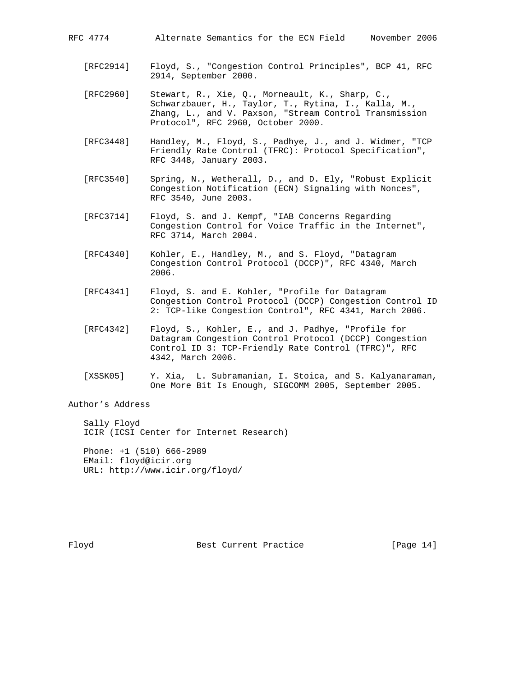RFC 4774 Alternate Semantics for the ECN Field November 2006

- [RFC2914] Floyd, S., "Congestion Control Principles", BCP 41, RFC 2914, September 2000.
- [RFC2960] Stewart, R., Xie, Q., Morneault, K., Sharp, C., Schwarzbauer, H., Taylor, T., Rytina, I., Kalla, M., Zhang, L., and V. Paxson, "Stream Control Transmission Protocol", RFC 2960, October 2000.
	- [RFC3448] Handley, M., Floyd, S., Padhye, J., and J. Widmer, "TCP Friendly Rate Control (TFRC): Protocol Specification", RFC 3448, January 2003.
	- [RFC3540] Spring, N., Wetherall, D., and D. Ely, "Robust Explicit Congestion Notification (ECN) Signaling with Nonces", RFC 3540, June 2003.
	- [RFC3714] Floyd, S. and J. Kempf, "IAB Concerns Regarding Congestion Control for Voice Traffic in the Internet", RFC 3714, March 2004.
	- [RFC4340] Kohler, E., Handley, M., and S. Floyd, "Datagram Congestion Control Protocol (DCCP)", RFC 4340, March 2006.
	- [RFC4341] Floyd, S. and E. Kohler, "Profile for Datagram Congestion Control Protocol (DCCP) Congestion Control ID 2: TCP-like Congestion Control", RFC 4341, March 2006.
	- [RFC4342] Floyd, S., Kohler, E., and J. Padhye, "Profile for Datagram Congestion Control Protocol (DCCP) Congestion Control ID 3: TCP-Friendly Rate Control (TFRC)", RFC 4342, March 2006.
	- [XSSK05] Y. Xia, L. Subramanian, I. Stoica, and S. Kalyanaraman, One More Bit Is Enough, SIGCOMM 2005, September 2005.

Author's Address

 Sally Floyd ICIR (ICSI Center for Internet Research)

 Phone: +1 (510) 666-2989 EMail: floyd@icir.org URL: http://www.icir.org/floyd/

Floyd Best Current Practice [Page 14]